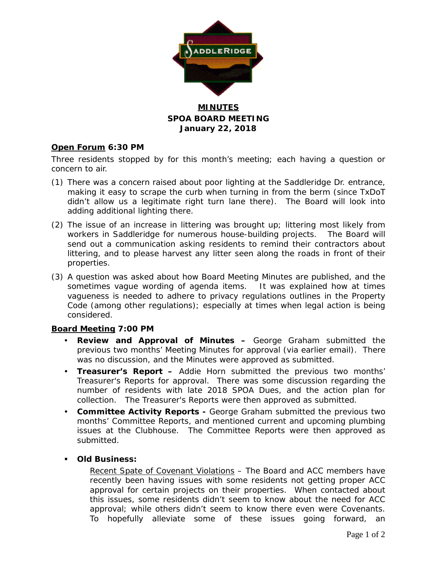

# **MINUTES SPOA BOARD MEETING January 22, 2018**

## **Open Forum 6:30 PM**

Three residents stopped by for this month's meeting; each having a question or concern to air.

- (1) There was a concern raised about poor lighting at the Saddleridge Dr. entrance, making it easy to scrape the curb when turning in from the berm (since TxDoT didn't allow us a legitimate right turn lane there). The Board will look into adding additional lighting there.
- (2) The issue of an increase in littering was brought up; littering most likely from workers in Saddleridge for numerous house-building projects. The Board will send out a communication asking residents to remind their contractors about littering, and to please harvest any litter seen along the roads in front of their properties.
- (3) A question was asked about how Board Meeting Minutes are published, and the sometimes vague wording of agenda items. It was explained how at times vagueness is needed to adhere to privacy regulations outlines in the Property Code (among other regulations); especially at times when legal action is being considered.

### **Board Meeting 7:00 PM**

- **Review and Approval of Minutes –** George Graham submitted the previous two months' Meeting Minutes for approval (via earlier email). There was no discussion, and the Minutes were approved as submitted.
- **Treasurer's Report –** Addie Horn submitted the previous two months' Treasurer's Reports for approval. There was some discussion regarding the number of residents with late 2018 SPOA Dues, and the action plan for collection. The Treasurer's Reports were then approved as submitted.
- **Committee Activity Reports -** George Graham submitted the previous two months' Committee Reports, and mentioned current and upcoming plumbing issues at the Clubhouse. The Committee Reports were then approved as submitted.

### **Old Business:**

Recent Spate of Covenant Violations - The Board and ACC members have recently been having issues with some residents not getting proper ACC approval for certain projects on their properties. When contacted about this issues, some residents didn't seem to know about the need for ACC approval; while others didn't seem to know there even were Covenants. To hopefully alleviate some of these issues going forward, an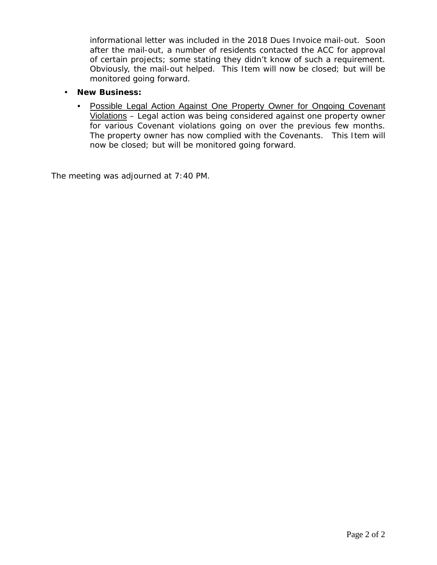informational letter was included in the 2018 Dues Invoice mail-out. Soon after the mail-out, a number of residents contacted the ACC for approval of certain projects; some stating they didn't know of such a requirement. Obviously, the mail-out helped. This Item will now be closed; but will be monitored going forward.

### **New Business:**

 Possible Legal Action Against One Property Owner for Ongoing Covenant Violations – Legal action was being considered against one property owner for various Covenant violations going on over the previous few months. The property owner has now complied with the Covenants. This Item will now be closed; but will be monitored going forward.

The meeting was adjourned at 7:40 PM.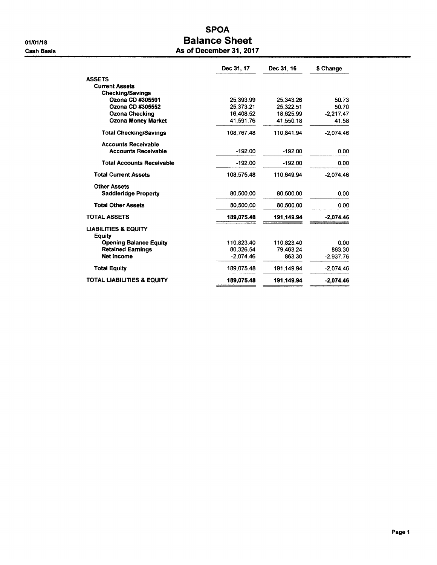# **SPOA Balance Sheet** As of December 31, 2017

|                                           | Dec 31, 17  | Dec 31, 16 | \$ Change   |
|-------------------------------------------|-------------|------------|-------------|
| <b>ASSETS</b>                             |             |            |             |
| <b>Current Assets</b>                     |             |            |             |
| <b>Checking/Savings</b>                   |             |            |             |
| Ozona CD #305501                          | 25,393.99   | 25,343.26  | 50.73       |
| Ozona CD #305552                          | 25.373.21   | 25.322.51  | 50.70       |
| <b>Ozona Checking</b>                     | 16,408.52   | 18,625.99  | $-2,217.47$ |
| <b>Ozona Money Market</b>                 | 41,591.76   | 41,550.18  | 41.58       |
| <b>Total Checking/Savings</b>             | 108,767.48  | 110.841.94 | $-2.074.46$ |
| <b>Accounts Receivable</b>                |             |            |             |
| <b>Accounts Receivable</b>                | $-192.00$   | $-192.00$  | 0.00        |
| <b>Total Accounts Receivable</b>          | $-192.00$   | -192.00    | 0.00        |
| <b>Total Current Assets</b>               | 108,575.48  | 110.649.94 | $-2.074.46$ |
| <b>Other Assets</b>                       |             |            |             |
| <b>Saddleridge Property</b>               | 80.500.00   | 80.500.00  | 0.00        |
| <b>Total Other Assets</b>                 | 80,500.00   | 80,500.00  | 0.00        |
| <b>TOTAL ASSETS</b>                       | 189,075.48  | 191,149.94 | $-2,074.46$ |
| <b>LIABILITIES &amp; EQUITY</b><br>Equity |             |            |             |
| <b>Opening Balance Equity</b>             | 110.823.40  | 110,823.40 | 0.00        |
| <b>Retained Earnings</b>                  | 80.326.54   | 79.463.24  | 863.30      |
| Net Income                                | $-2.074.46$ | 863.30     | $-2.937.76$ |
| <b>Total Equity</b>                       | 189,075.48  | 191,149.94 | $-2.074.46$ |
| TOTAL LIABILITIES & EQUITY                | 189,075.48  | 191,149.94 | $-2,074.46$ |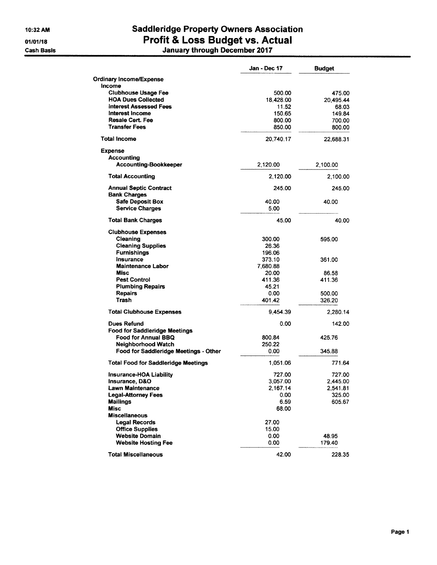10:32 AM

01/01/18

**Cash Basis** 

# **Saddleridge Property Owners Association** Profit & Loss Budget vs. Actual J,

|  |  | January through December 2017 |  |
|--|--|-------------------------------|--|
|--|--|-------------------------------|--|

|                                            | Jan - Dec 17 | <b>Budget</b> |
|--------------------------------------------|--------------|---------------|
| <b>Ordinary Income/Expense</b>             |              |               |
| <b>Income</b>                              |              |               |
| <b>Clubhouse Usage Fee</b>                 | 500.00       | 475.00        |
| <b>HOA Dues Collected</b>                  | 18,428.00    | 20.495.44     |
| Interest Assessed Fees                     | 11.52        | 68.03         |
| Interest Income                            | 150.65       | 149.84        |
| <b>Resale Cert. Fee</b>                    | 800.00       | 700.00        |
| <b>Transfer Fees</b>                       | 850.00       | 800.00        |
| <b>Total Income</b>                        | 20,740.17    | 22,688.31     |
| <b>Expense</b>                             |              |               |
| Accounting                                 |              |               |
| <b>Accounting-Bookkeeper</b>               | 2,120.00     | 2,100.00      |
| <b>Total Accounting</b>                    | 2,120.00     | 2,100.00      |
| <b>Annual Septic Contract</b>              | 245.00       | 245.00        |
| <b>Bank Charges</b>                        |              |               |
| <b>Safe Deposit Box</b>                    | 40.00        | 40.00         |
| <b>Service Charges</b>                     | 5.00         |               |
| <b>Total Bank Charges</b>                  | 45.00        | 40.00         |
| <b>Clubhouse Expenses</b>                  |              |               |
| Cleaning                                   | 300.00       | 595.00        |
| <b>Cleaning Supplies</b>                   | 26.36        |               |
| <b>Furnishings</b>                         | 196.06       |               |
| Insurance                                  | 373.10       | 361.00        |
| <b>Maintenance Labor</b>                   | 7,680.88     |               |
| <b>Misc</b>                                | 20.00        | 86.58         |
| <b>Pest Control</b>                        | 411.36       | 411.36        |
| <b>Plumbing Repairs</b>                    | 45.21        |               |
| <b>Repairs</b>                             | 0.00         | 500.00        |
| Trash                                      | 401.42       | 326.20        |
| <b>Total Clubhouse Expenses</b>            | 9,454.39     | 2,280.14      |
| Dues Refund                                | 0.00         | 142.00        |
| <b>Food for Saddleridge Meetings</b>       |              |               |
| Food for Annual BBQ                        | 800.84       | 425.76        |
| <b>Neighborhood Watch</b>                  | 250.22       |               |
| Food for Saddleridge Meetings - Other      | 0.00         | 345.88        |
| <b>Total Food for Saddleridge Meetings</b> | 1,051.06     | 771.64        |
| Insurance-HOA Liability                    | 727.00       | 727.00        |
| Insurance, D&O                             | 3,057.00     | 2,445.00      |
| Lawn Maintenance                           | 2,167.14     | 2,541.81      |
| <b>Legal-Attorney Fees</b>                 | 0.00         | 325.00        |
| <b>Mailings</b>                            | 6.59         | 605.67        |
| Misc                                       | 68.00        |               |
| <b>Miscellaneous</b>                       |              |               |
| <b>Legal Records</b>                       | 27.00        |               |
| <b>Office Supplies</b>                     | 15.00        |               |
| <b>Website Domain</b>                      | 0.00         | 48.95         |
| <b>Website Hosting Fee</b>                 | 0.00         | 179.40        |
| <b>Total Miscellaneous</b>                 | 42.00        | 228.35        |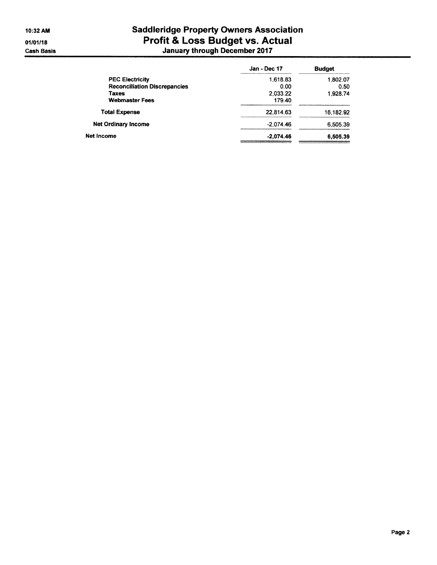# **Saddleridge Property Owners Association** Profit & Loss Budget vs. Actual<br>January through December 2017

|                                     | Jan - Dec 17 | <b>Budget</b> |
|-------------------------------------|--------------|---------------|
| <b>PEC Electricity</b>              | 1,618.83     | 1,802.07      |
| <b>Reconciliation Discrepancies</b> | 0.00         | 0.50          |
| <b>Taxes</b>                        | 2,033.22     | 1,928.74      |
| <b>Webmaster Fees</b>               | 179.40       |               |
| <b>Total Expense</b>                | 22,814.63    | 16,182.92     |
| <b>Net Ordinary Income</b>          | $-2.074.46$  | 6,505.39      |
| Net Income                          | $-2.074.46$  | 6,505.39      |
|                                     |              |               |